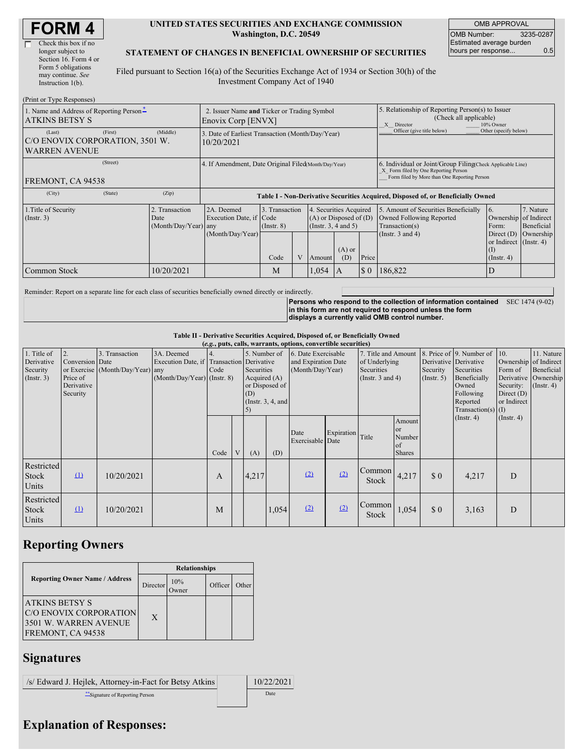| <b>FORM4</b> |
|--------------|
|--------------|

| Check this box if no  |
|-----------------------|
| longer subject to     |
| Section 16. Form 4 or |
| Form 5 obligations    |
| may continue. See     |
| Instruction 1(b).     |
|                       |

#### **UNITED STATES SECURITIES AND EXCHANGE COMMISSION Washington, D.C. 20549**

OMB APPROVAL OMB Number: 3235-0287 Estimated average burden hours per response... 0.5

### **STATEMENT OF CHANGES IN BENEFICIAL OWNERSHIP OF SECURITIES**

Filed pursuant to Section 16(a) of the Securities Exchange Act of 1934 or Section 30(h) of the Investment Company Act of 1940

| (Print or Type Responses)                                                    |                                                |                                                                   |                                   |  |                                                                              |                 |                                                                                                                                                    |                                                                                                        |                                                       |                                      |  |
|------------------------------------------------------------------------------|------------------------------------------------|-------------------------------------------------------------------|-----------------------------------|--|------------------------------------------------------------------------------|-----------------|----------------------------------------------------------------------------------------------------------------------------------------------------|--------------------------------------------------------------------------------------------------------|-------------------------------------------------------|--------------------------------------|--|
| 1. Name and Address of Reporting Person-<br><b>ATKINS BETSY S</b>            |                                                | 2. Issuer Name and Ticker or Trading Symbol<br>Enovix Corp [ENVX] |                                   |  |                                                                              |                 | 5. Relationship of Reporting Person(s) to Issuer<br>(Check all applicable)<br>X Director<br>10% Owner                                              |                                                                                                        |                                                       |                                      |  |
| (First)<br>(Last)<br>C/O ENOVIX CORPORATION, 3501 W.<br><b>WARREN AVENUE</b> | (Middle)                                       | 3. Date of Earliest Transaction (Month/Day/Year)<br>10/20/2021    |                                   |  |                                                                              |                 |                                                                                                                                                    | Officer (give title below)                                                                             | Other (specify below)                                 |                                      |  |
| (Street)<br>FREMONT, CA 94538                                                |                                                | 4. If Amendment, Date Original Filed(Month/Day/Year)              |                                   |  |                                                                              |                 | 6. Individual or Joint/Group Filing Check Applicable Line)<br>X Form filed by One Reporting Person<br>Form filed by More than One Reporting Person |                                                                                                        |                                                       |                                      |  |
| (State)<br>(City)                                                            | (Zip)                                          |                                                                   |                                   |  |                                                                              |                 |                                                                                                                                                    |                                                                                                        |                                                       |                                      |  |
|                                                                              |                                                |                                                                   |                                   |  |                                                                              |                 |                                                                                                                                                    | Table I - Non-Derivative Securities Acquired, Disposed of, or Beneficially Owned                       |                                                       |                                      |  |
| 1. Title of Security<br>$($ Instr. 3 $)$                                     | 2. Transaction<br>Date<br>(Month/Day/Year) any | 2A. Deemed<br>Execution Date, if Code<br>(Month/Day/Year)         | 3. Transaction<br>$($ Instr. $8)$ |  | 4. Securities Acquired<br>$(A)$ or Disposed of $(D)$<br>(Insert. 3, 4 and 5) |                 |                                                                                                                                                    | 5. Amount of Securities Beneficially<br>Owned Following Reported<br>Transaction(s)<br>(Instr. 3 and 4) | 16.<br>Ownership of Indirect<br>Form:<br>Direct $(D)$ | 7. Nature<br>Beneficial<br>Ownership |  |
|                                                                              |                                                |                                                                   | Code                              |  | Amount                                                                       | $(A)$ or<br>(D) | Price                                                                                                                                              |                                                                                                        | or Indirect (Instr. 4)<br>(I)<br>$($ Instr. 4 $)$     |                                      |  |

Reminder: Report on a separate line for each class of securities beneficially owned directly or indirectly.

**Persons who respond to the collection of information contained** SEC 1474 (9-02) **in this form are not required to respond unless the form displays a currently valid OMB control number.**

**Table II - Derivative Securities Acquired, Disposed of, or Beneficially Owned**

|                                                      |                                                             |                                                    |                                             |      |                                                                                                                                                             |       |                                                                | (e.g., puts, calls, warrants, options, convertible securities) |                                                                             |                        |                                                      |                                                                                                                                           |                                                                                                   |                                                           |  |
|------------------------------------------------------|-------------------------------------------------------------|----------------------------------------------------|---------------------------------------------|------|-------------------------------------------------------------------------------------------------------------------------------------------------------------|-------|----------------------------------------------------------------|----------------------------------------------------------------|-----------------------------------------------------------------------------|------------------------|------------------------------------------------------|-------------------------------------------------------------------------------------------------------------------------------------------|---------------------------------------------------------------------------------------------------|-----------------------------------------------------------|--|
| 1. Title of<br>Derivative<br>Security<br>(Insert. 3) | 2.<br>Conversion Date<br>Price of<br>Derivative<br>Security | 3. Transaction<br>or Exercise (Month/Day/Year) any | 3A. Deemed<br>$(Month/Day/Year)$ (Instr. 8) | Code | 5. Number of<br>Execution Date, if Transaction Derivative<br>Securities<br>Acquired $(A)$<br>or Disposed of<br>(D)<br>(Instr. $3, 4$ , and<br>$\mathcal{D}$ |       | 6. Date Exercisable<br>and Expiration Date<br>(Month/Day/Year) |                                                                | 7. Title and Amount<br>of Underlying<br>Securities<br>(Instr. $3$ and $4$ ) |                        | Security<br>(Insert. 5)                              | 8. Price of 9. Number of<br>Derivative Derivative<br>Securities<br>Beneficially<br>Owned<br>Following<br>Reported<br>Transaction(s) $(I)$ | 10.<br>Ownership of Indirect<br>Form of<br>Derivative<br>Security:<br>Direct $(D)$<br>or Indirect | 11. Nature<br>Beneficial<br>Ownership<br>$($ Instr. 4 $)$ |  |
|                                                      |                                                             |                                                    |                                             | Code |                                                                                                                                                             | (A)   | (D)                                                            | Date<br>Exercisable Date                                       | Expiration                                                                  | Title                  | Amount<br><b>or</b><br>Number<br>of<br><b>Shares</b> |                                                                                                                                           | $($ Instr. 4 $)$                                                                                  | $($ Instr. 4 $)$                                          |  |
| Restricted<br><b>Stock</b><br>Units                  | $\Omega$                                                    | 10/20/2021                                         |                                             | A    |                                                                                                                                                             | 4,217 |                                                                | (2)                                                            | (2)                                                                         | Common<br><b>Stock</b> | 4,217                                                | $\Omega$                                                                                                                                  | 4,217                                                                                             | D                                                         |  |
| Restricted<br><b>Stock</b><br>Units                  | $\Omega$                                                    | 10/20/2021                                         |                                             | M    |                                                                                                                                                             |       | 1,054                                                          | (2)                                                            | (2)                                                                         | Common<br><b>Stock</b> | 1,054                                                | $\Omega$                                                                                                                                  | 3,163                                                                                             | D                                                         |  |

# **Reporting Owners**

|                                                                                               | <b>Relationships</b> |                      |         |       |  |  |  |
|-----------------------------------------------------------------------------------------------|----------------------|----------------------|---------|-------|--|--|--|
| <b>Reporting Owner Name / Address</b>                                                         | Director             | 10%<br><b>J</b> wner | Officer | Other |  |  |  |
| <b>ATKINS BETSY S</b><br>C/O ENOVIX CORPORATION<br>3501 W. WARREN AVENUE<br>FREMONT, CA 94538 | X                    |                      |         |       |  |  |  |

## **Signatures**

/s/ Edward J. Hejlek, Attorney-in-Fact for Betsy Atkins 10/22/2021 \*\*Signature of Reporting Person Date

## **Explanation of Responses:**